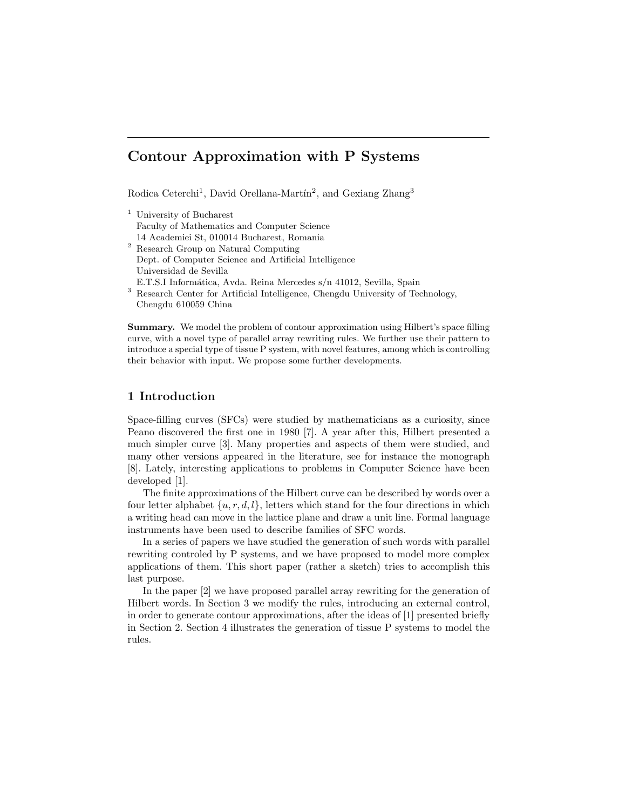# Contour Approximation with P Systems

Rodica Ceterchi<sup>1</sup>, David Orellana-Martín<sup>2</sup>, and Gexiang Zhang<sup>3</sup>

- <sup>1</sup> University of Bucharest Faculty of Mathematics and Computer Science 14 Academiei St, 010014 Bucharest, Romania
- <sup>2</sup> Research Group on Natural Computing Dept. of Computer Science and Artificial Intelligence Universidad de Sevilla
- E.T.S.I Informática, Avda. Reina Mercedes s/n 41012, Sevilla, Spain
- <sup>3</sup> Research Center for Artificial Intelligence, Chengdu University of Technology, Chengdu 610059 China

Summary. We model the problem of contour approximation using Hilbert's space filling curve, with a novel type of parallel array rewriting rules. We further use their pattern to introduce a special type of tissue P system, with novel features, among which is controlling their behavior with input. We propose some further developments.

### 1 Introduction

Space-filling curves (SFCs) were studied by mathematicians as a curiosity, since Peano discovered the first one in 1980 [7]. A year after this, Hilbert presented a much simpler curve [3]. Many properties and aspects of them were studied, and many other versions appeared in the literature, see for instance the monograph [8]. Lately, interesting applications to problems in Computer Science have been developed [1].

The finite approximations of the Hilbert curve can be described by words over a four letter alphabet  $\{u, r, d, l\}$ , letters which stand for the four directions in which a writing head can move in the lattice plane and draw a unit line. Formal language instruments have been used to describe families of SFC words.

In a series of papers we have studied the generation of such words with parallel rewriting controled by P systems, and we have proposed to model more complex applications of them. This short paper (rather a sketch) tries to accomplish this last purpose.

In the paper [2] we have proposed parallel array rewriting for the generation of Hilbert words. In Section 3 we modify the rules, introducing an external control, in order to generate contour approximations, after the ideas of [1] presented briefly in Section 2. Section 4 illustrates the generation of tissue P systems to model the rules.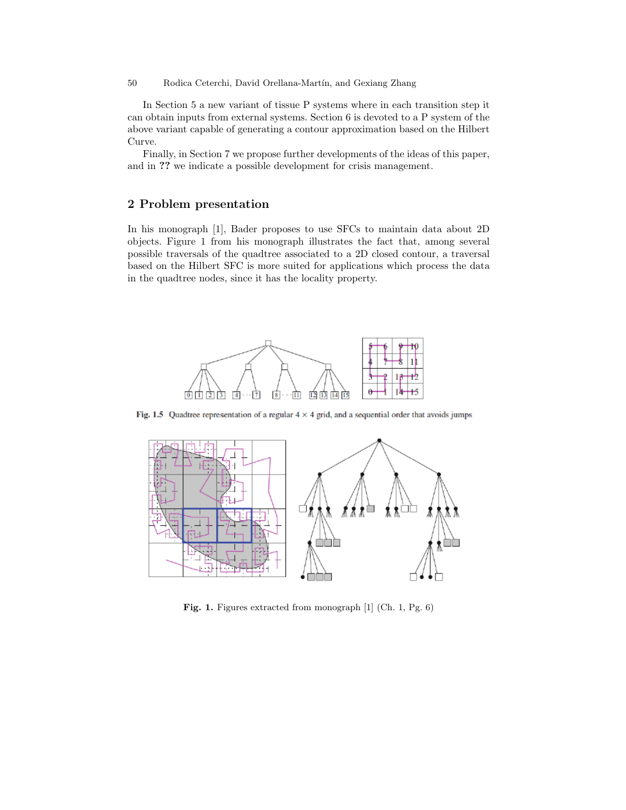In Section 5 a new variant of tissue P systems where in each transition step it can obtain inputs from external systems. Section 6 is devoted to a P system of the above variant capable of generating a contour approximation based on the Hilbert Curve.

Finally, in Section 7 we propose further developments of the ideas of this paper, and in ?? we indicate a possible development for crisis management.

### 2 Problem presentation

In his monograph [1], Bader proposes to use SFCs to maintain data about 2D objects. Figure 1 from his monograph illustrates the fact that, among several possible traversals of the quadtree associated to a 2D closed contour, a traversal based on the Hilbert SFC is more suited for applications which process the data in the quadtree nodes, since it has the locality property.



Fig. 1.5 Quadtree representation of a regular  $4 \times 4$  grid, and a sequential order that avoids jumps



Fig. 1. Figures extracted from monograph [1] (Ch. 1, Pg. 6)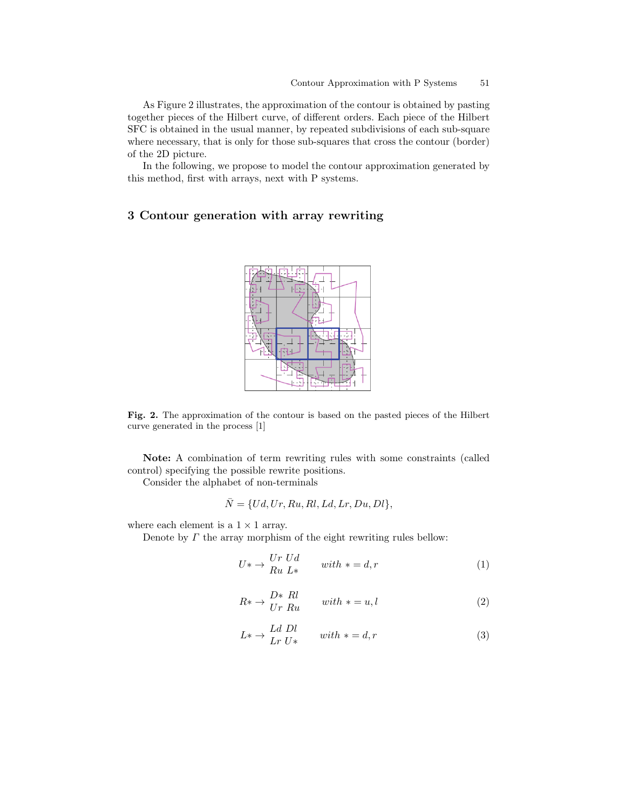As Figure 2 illustrates, the approximation of the contour is obtained by pasting together pieces of the Hilbert curve, of different orders. Each piece of the Hilbert SFC is obtained in the usual manner, by repeated subdivisions of each sub-square where necessary, that is only for those sub-squares that cross the contour (border) of the 2D picture.

In the following, we propose to model the contour approximation generated by this method, first with arrays, next with P systems.

## 3 Contour generation with array rewriting



Fig. 2. The approximation of the contour is based on the pasted pieces of the Hilbert curve generated in the process [1]

Note: A combination of term rewriting rules with some constraints (called control) specifying the possible rewrite positions.

Consider the alphabet of non-terminals

$$
\bar{N} = \{Ud, Ur, Ru, Rl, Ld, Lr, Du, Dl\},\
$$

where each element is a  $1 \times 1$  array.

Denote by  $\Gamma$  the array morphism of the eight rewriting rules bellow:

$$
U^* \to \begin{cases} Ur & Ud \\ Ru & L^* \end{cases} \qquad with \; * = d, r \tag{1}
$$

$$
R^* \to \frac{D^* \, Rl}{Ur \, Ru} \qquad with \, * = u, l \tag{2}
$$

$$
L^* \to \frac{Ld}{Lr} \frac{Dl}{U^*} \qquad with \, * = d, r \tag{3}
$$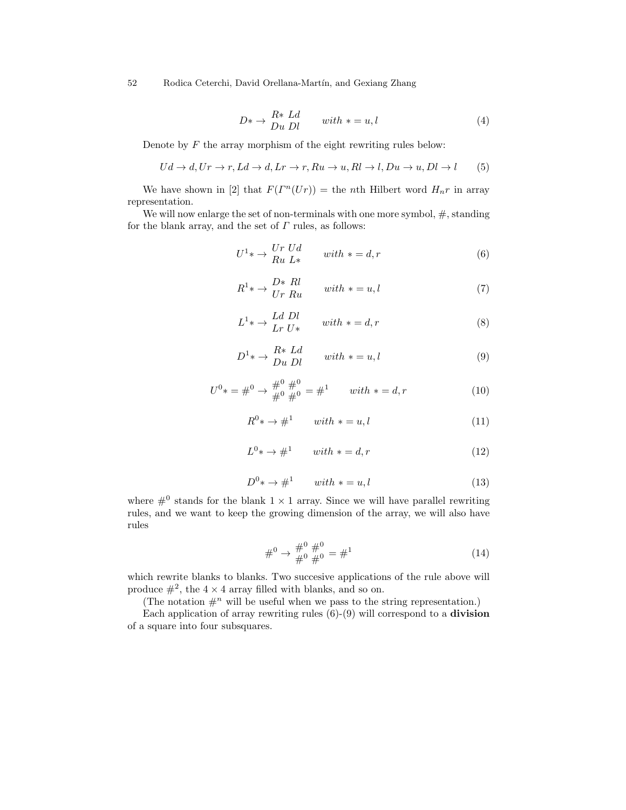$$
D^* \to \begin{array}{c} R^* \,\, Ld \\ Du \,\, Dl \end{array} \qquad with \, * = u, l \tag{4}
$$

Denote by  $F$  the array morphism of the eight rewriting rules below:

$$
Ud \to d, Ur \to r, Ld \to d, Lr \to r, Ru \to u, Rl \to l, Du \to u, Dl \to l \tag{5}
$$

We have shown in [2] that  $F(\Gamma^n(Ur)) =$  the nth Hilbert word  $H_n r$  in array representation.

We will now enlarge the set of non-terminals with one more symbol,  $\#$ , standing for the blank array, and the set of  $\Gamma$  rules, as follows:

$$
U^{1} * \rightarrow \begin{cases} Ur \ Ud \\ Ru \ L* \end{cases} with \ * = d, r \tag{6}
$$

$$
R^{1} * \rightarrow \frac{D*}{Ur} \frac{Rl}{Ru} \qquad with \ * = u, l \tag{7}
$$

$$
L^{1} * \rightarrow \begin{array}{c} Ld \; Dl \\ Lr \; U* \end{array} \qquad with \; * = d, r \tag{8}
$$

$$
D^{1} * \rightarrow \begin{array}{c} R * Ld \\ Du \ Dl \end{array} with * = u, l \tag{9}
$$

$$
U^{0} * = \#^{0} \to \frac{\#^{0}}{\#^{0}} \frac{\#^{0}}{\#^{0}} = \#^{1} \quad \text{with } * = d, r
$$
 (10)

$$
R^0 * \to \#^1 \qquad with \ * = u, l \tag{11}
$$

$$
L^0 * \to \#^1 \qquad with \, * = d, r \tag{12}
$$

$$
D^0 * \to \#^1 \qquad with \ * = u, l \tag{13}
$$

where  $\#^0$  stands for the blank  $1 \times 1$  array. Since we will have parallel rewriting rules, and we want to keep the growing dimension of the array, we will also have rules

$$
\#^{0} \to \frac{\#^{0}}{\#^{0}} \frac{\#^{0}}{\#^{0}} = \#^{1}
$$
\n(14)

which rewrite blanks to blanks. Two succesive applications of the rule above will produce  $\#^2$ , the  $4 \times 4$  array filled with blanks, and so on.

(The notation  $\#^n$  will be useful when we pass to the string representation.)

Each application of array rewriting rules  $(6)-(9)$  will correspond to a **division** of a square into four subsquares.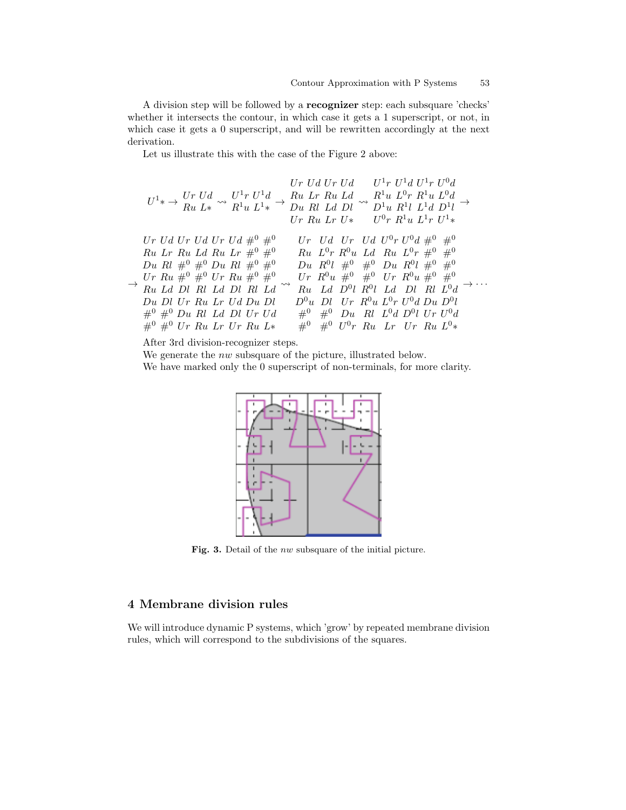A division step will be followed by a recognizer step: each subsquare 'checks' whether it intersects the contour, in which case it gets a 1 superscript, or not, in which case it gets a 0 superscript, and will be rewritten accordingly at the next derivation.

Let us illustrate this with the case of the Figure 2 above:

$$
Ur Ud \ Ur Ud \qquad U^1r U^1d \ U^1r U^0d
$$
  
\n
$$
U^1* \rightarrow \begin{bmatrix} Ur Ud & U^1r U^1d & W^1u & U^1r U^1d \\ Ru L* & R^1u L^1* & \rightarrow Du \ Rl \ Ld \ Dl & \rightarrow D^1u \ R^1l \ L^1d \ D^1l & \rightarrow \\ Ur \ Ru \ Lr \ U^2 & U^0r \ R^1u \ L^1r \ U^1* \end{bmatrix}
$$
  
\n
$$
Ur Ud \ Ur \ Ud \ Ur \ Ud \#^0 \#^0 \qquad Ur \ Ud \ Ur \ Ud \ U^0r U^0d \#^0 \#^0
$$
  
\n
$$
Ru \ Lr \ Ru \ Ld \ Ru \ Lr \#^0 \#^0 \qquad Ru \ L^0r \ R^0u \ Ld \ Ru \ L^0r \#^0 \#^0
$$
  
\n
$$
Du \ Rl \#^0 \#^0 \ Du \ Rl \#^0 \#^0 \qquad Du \ R^0l \#^0 \#^0 \ Du \ R^0l \#^0 \#^0
$$
  
\n
$$
Vr \ Ru \#^0 \#^0 Ur \ Ru \#^0 \#^0 \qquad Ur \ R^0u \#^0 \#^0 Ur \ R^0u \#^0 \#^0
$$
  
\n
$$
Du \ Dl \ Ur \ Ru \ Lr \ Ud \ Du \ Dl \qquad D^0u \ Dl \ Ur \ R^0u \ L^0r \ U^0d \ Du \ D^0l
$$
  
\n
$$
H^0 \#^0 \ Du \ Rl \ Ld \ Dl \ Ur \ Ud \qquad \#^0 \#^0 \ Du \ Rl \ L^0d \ D^0l \ Ur \ U^0d
$$
  
\n
$$
H^0 \#^0 Ur \ Ru \ Lr \ Ur \ Ru \ L* \qquad \#^0 \#^0 U^0r \ Ru \ Lr \ Ur \ Ru \ L^0*
$$

After 3rd division-recognizer steps.

We generate the *nw* subsquare of the picture, illustrated below. We have marked only the 0 superscript of non-terminals, for more clarity.



Fig. 3. Detail of the *nw* subsquare of the initial picture.

## 4 Membrane division rules

We will introduce dynamic P systems, which 'grow' by repeated membrane division rules, which will correspond to the subdivisions of the squares.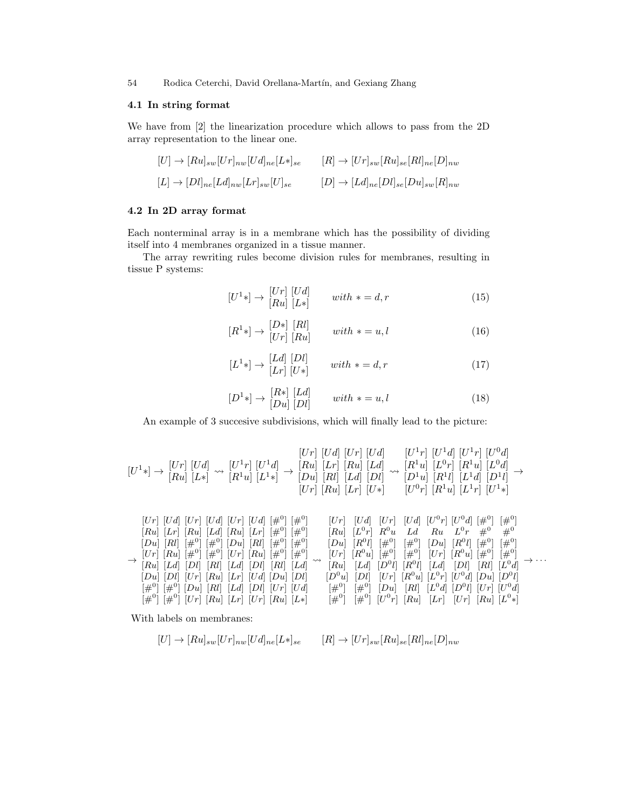#### 4.1 In string format

We have from [2] the linearization procedure which allows to pass from the 2D array representation to the linear one.

$$
[U] \to [Ru]_{sw}[Ur]_{nw}[Ud]_{ne}[L*]_{se} \qquad [R] \to [Ur]_{sw}[Ru]_{se}[Rl]_{ne}[D]_{nw}
$$

$$
[L] \to [Dl]_{ne}[Ld]_{nw}[Lr]_{sw}[U]_{se} \qquad [D] \to [Ld]_{ne}[Dl]_{se}[Du]_{sw}[R]_{nw}
$$

## 4.2 In 2D array format

Each nonterminal array is in a membrane which has the possibility of dividing itself into 4 membranes organized in a tissue manner.

The array rewriting rules become division rules for membranes, resulting in tissue P systems:

$$
[U^1*] \to \begin{bmatrix} Ur \\ [Ru] & [L*] \end{bmatrix} \qquad with \; * = d, r \tag{15}
$$

$$
[R1 *] \rightarrow [Dr] [Rl] \qquad with * = u, l \tag{16}
$$

$$
[L1 *] \rightarrow [Ld] [Dl] \qquad with * = d, r \tag{17}
$$

$$
[D1 *] \rightarrow [Ru] [Ld] \qquad with * = u, l \tag{18}
$$

An example of 3 succesive subdivisions, which will finally lead to the picture:

$$
[U^1*] \rightarrow [U^1] \begin{bmatrix} Ud \end{bmatrix} \sim [U^1r] \begin{bmatrix} Ud \end{bmatrix} \begin{bmatrix} Ur \end{bmatrix} \begin{bmatrix} Ud \end{bmatrix} \begin{bmatrix} Ur \end{bmatrix} \begin{bmatrix} Ud \end{bmatrix} \begin{bmatrix} U^1r \end{bmatrix} \begin{bmatrix} U^1r \end{bmatrix} \begin{bmatrix} U^1r \end{bmatrix} \begin{bmatrix} U^1r \end{bmatrix} \begin{bmatrix} U^0d \end{bmatrix}
$$
\n
$$
[U^1*] \begin{bmatrix} Ud \end{bmatrix} \sim \begin{bmatrix} R^1u \end{bmatrix} \begin{bmatrix} L^1r \end{bmatrix} \begin{bmatrix} Ud \end{bmatrix} \sim \begin{bmatrix} R^1u \end{bmatrix} \begin{bmatrix} L^1r \end{bmatrix} \begin{bmatrix} R^1u \end{bmatrix} \begin{bmatrix} L^0r \end{bmatrix} \begin{bmatrix} R^1u \end{bmatrix} \begin{bmatrix} L^0d \end{bmatrix}
$$
\n
$$
[Ur] \begin{bmatrix} Ru \end{bmatrix} \begin{bmatrix} L^1r \end{bmatrix} \begin{bmatrix} L^1u \end{bmatrix} \begin{bmatrix} L^1u \end{bmatrix} \begin{bmatrix} L^1u \end{bmatrix} \begin{bmatrix} L^1u \end{bmatrix} \begin{bmatrix} L^1u \end{bmatrix} \begin{bmatrix} L^1u \end{bmatrix} \begin{bmatrix} L^1u \end{bmatrix}
$$
\n
$$
[Ur] \begin{bmatrix} Ud \end{bmatrix} \begin{bmatrix} Ur \end{bmatrix} \begin{bmatrix} Ud \end{bmatrix} \begin{bmatrix} L^1r \end{bmatrix} \begin{bmatrix} L^1u \end{bmatrix} \begin{bmatrix} L^1u \end{bmatrix} \begin{bmatrix} L^1u \end{bmatrix} \begin{bmatrix} L^1r \end{bmatrix} \begin{bmatrix} L^1u \end{bmatrix} \begin{bmatrix} L^1u \end{bmatrix} \begin{bmatrix} L^1u \end{bmatrix} \begin{bmatrix} L^1u \end{bmatrix} \begin{bmatrix} L^1u \end{bmatrix} \begin{bmatrix} L^1u \end{bmatrix} \begin{bmatrix} L^1u \end{
$$

→ [Du] [Rl] [#<sup>0</sup> ] [#<sup>0</sup> ] [Du] [Rl] [#<sup>0</sup> ] [#<sup>0</sup> ] [Ur] [Ru] [#<sup>0</sup> ] [#<sup>0</sup> ] [Ur] [Ru] [#<sup>0</sup> ] [#<sup>0</sup> ] [Ru] [Ld] [Dl] [Rl] [Ld] [Dl] [Rl] [Ld] [Du] [Dl] [Ur] [Ru] [Lr] [U d] [Du] [Dl] [#<sup>0</sup> ] [#<sup>0</sup> ] [Du] [Rl] [Ld] [Dl] [Ur] [U d] [#<sup>0</sup> ] [#<sup>0</sup> ] [Ur] [Ru] [Lr] [Ur] [Ru] [L∗] [Du] [R 0 l] [#<sup>0</sup> ] [#<sup>0</sup> ] [Du] [R 0 l] [#<sup>0</sup> ] [#<sup>0</sup> ] [Ur] [R <sup>0</sup>u] [#<sup>0</sup> ] [#<sup>0</sup> ] [Ur] [R <sup>0</sup>u] [#<sup>0</sup> ] [#<sup>0</sup> ] [Ru] [Ld] [D 0 l] [R 0 l] [Ld] [Dl] [Rl] [L 0 d] [D <sup>0</sup>u] [Dl] [Ur] [R <sup>0</sup>u] [L 0 r] [U 0 d] [Du] [D 0 l] [#<sup>0</sup> ] [#<sup>0</sup> ] [Du] [Rl] [L 0 d] [D 0 l] [Ur] [U 0 d] [#<sup>0</sup> ] [#<sup>0</sup> ] [U 0 r] [Ru] [Lr] [Ur] [Ru] [L 0 ∗] → · · ·

With labels on membranes:

$$
[U] \to [Ru]_{sw}[Ur]_{nw}[Ud]_{ne}[L*]_{se} \qquad [R] \to [Ur]_{sw}[Ru]_{se}[Rl]_{ne}[D]_{nw}
$$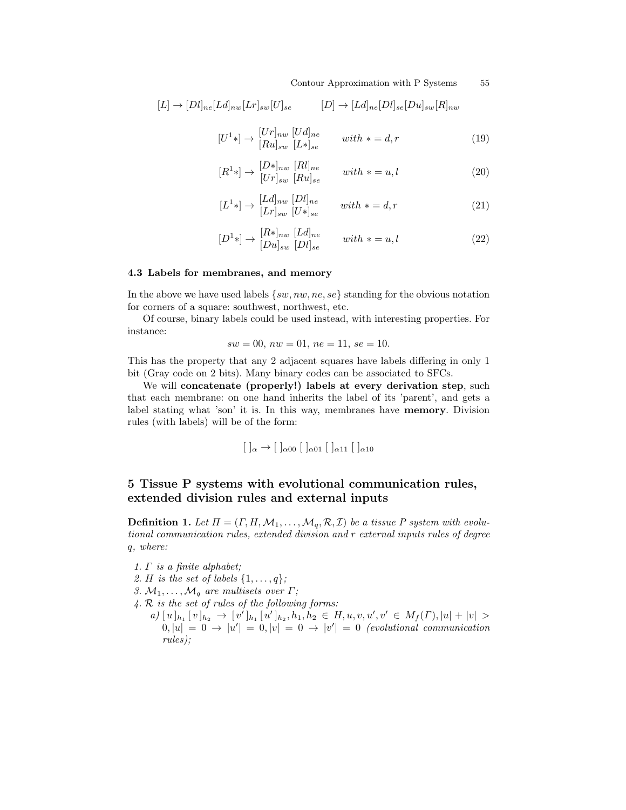Contour Approximation with P Systems  $55$ 

$$
[L] \to [Dl]_{ne}[Ld]_{nw}[Lr]_{sw}[U]_{se} \qquad [D] \to [Ld]_{ne}[Dl]_{se}[Du]_{sw}[R]_{nw}
$$

$$
[U1 *] \rightarrow [Ur]_{nw} [Ud]_{ne} \t\t with * = d,r \t\t (19)
$$

$$
[R1 *] \rightarrow [D*]_{nw} [Rl]_{ne} \t with * = u, l
$$
  
(20)

$$
[L1 *] \rightarrow [Ld]_{nw} [Dl]_{ne} \t\t with * = d,r \t\t (21)
$$

$$
[D1 *] \rightarrow [R*]_{nw} [Ld]_{ne}
$$
  

$$
[Du]_{sw} [Dl]_{se}
$$
 with  $* = u, l$  (22)

#### 4.3 Labels for membranes, and memory

In the above we have used labels  $\{sw, nw, ne, se\}$  standing for the obvious notation for corners of a square: southwest, northwest, etc.

Of course, binary labels could be used instead, with interesting properties. For instance:

$$
sw = 00, \, nw = 01, \, ne = 11, \, se = 10.
$$

This has the property that any 2 adjacent squares have labels differing in only 1 bit (Gray code on 2 bits). Many binary codes can be associated to SFCs.

We will concatenate (properly!) labels at every derivation step, such that each membrane: on one hand inherits the label of its 'parent', and gets a label stating what 'son' it is. In this way, membranes have memory. Division rules (with labels) will be of the form:

$$
[ \ ]_{\alpha} \rightarrow [ \ ]_{\alpha 00} [ \ ]_{\alpha 01} [ \ ]_{\alpha 11} [ \ ]_{\alpha 10}
$$

## 5 Tissue P systems with evolutional communication rules, extended division rules and external inputs

**Definition 1.** Let  $\Pi = (\Gamma, H, \mathcal{M}_1, \dots, \mathcal{M}_q, \mathcal{R}, \mathcal{I})$  be a tissue P system with evolutional communication rules, extended division and r external inputs rules of degree q, where:

- $1. \Gamma$  is a finite alphabet;
- 2. H is the set of labels  $\{1,\ldots,q\}$ ;
- 3.  $M_1, \ldots, M_q$  are multisets over  $\Gamma$ ;
- 4. R is the set of rules of the following forms:
- $a)$   $[u]_{h_1}$   $[v]_{h_2}$   $\rightarrow$   $[v']_{h_1}$   $[u']_{h_2}$ ,  $h_1, h_2 \in H$ ,  $u, v, u', v' \in M_f(\Gamma), |u| + |v| >$  $0, |u| = 0 \rightarrow |u'| = 0, |v| = 0 \rightarrow |v'| = 0$  (evolutional communication rules);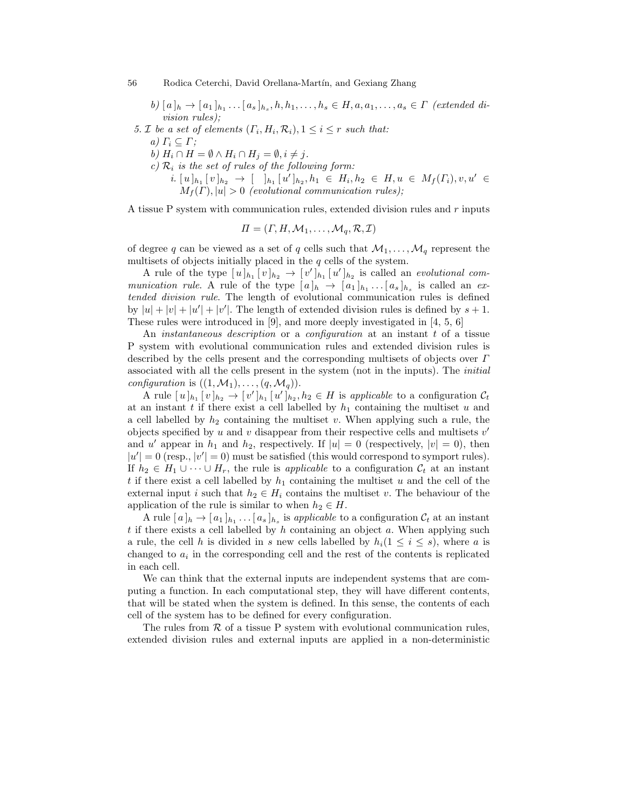$b) [a]_h \to [a_1]_{h_1} \dots [a_s]_{h_s}, h, h_1, \dots, h_s \in H, a, a_1, \dots, a_s \in \Gamma$  (extended division rules);

- 5. *I* be a set of elements  $(\Gamma_i, H_i, \mathcal{R}_i), 1 \leq i \leq r$  such that: a)  $\Gamma_i \subseteq \Gamma$ ; b)  $H_i \cap H = \emptyset \wedge H_i \cap H_j = \emptyset, i \neq j.$ 
	- c)  $\mathcal{R}_i$  is the set of rules of the following form:
		- $i. [u]_{h_1} [v]_{h_2} \rightarrow [h_1 [u']_{h_2}, h_1 \in H_i, h_2 \in H, u \in M_f(\Gamma_i), v, u' \in$  $M_f(\Gamma), |u| > 0$  (evolutional communication rules);

A tissue P system with communication rules, extended division rules and  $r$  inputs

$$
\Pi = (\Gamma, H, \mathcal{M}_1, \dots, \mathcal{M}_q, \mathcal{R}, \mathcal{I})
$$

of degree q can be viewed as a set of q cells such that  $\mathcal{M}_1, \ldots, \mathcal{M}_q$  represent the multisets of objects initially placed in the  $q$  cells of the system.

A rule of the type  $[u]_{h_1} [v]_{h_2} \to [v']_{h_1} [u']_{h_2}$  is called an *evolutional com*munication rule. A rule of the type  $[a]_h \to [a_1]_{h_1} \dots [a_s]_{h_s}$  is called an extended division rule. The length of evolutional communication rules is defined by  $|u| + |v| + |u'| + |v'|$ . The length of extended division rules is defined by  $s + 1$ . These rules were introduced in [9], and more deeply investigated in [4, 5, 6]

An *instantaneous description* or a *configuration* at an instant t of a tissue P system with evolutional communication rules and extended division rules is described by the cells present and the corresponding multisets of objects over Γ associated with all the cells present in the system (not in the inputs). The initial *configuration* is  $((1, \mathcal{M}_1), \ldots, (q, \mathcal{M}_q)).$ 

A rule  $[u]_{h_1} [v]_{h_2} \to [v']_{h_1} [u']_{h_2}, h_2 \in H$  is applicable to a configuration  $C_t$ at an instant t if there exist a cell labelled by  $h_1$  containing the multiset u and a cell labelled by  $h_2$  containing the multiset v. When applying such a rule, the objects specified by  $u$  and  $v$  disappear from their respective cells and multisets  $v'$ and u' appear in  $h_1$  and  $h_2$ , respectively. If  $|u|=0$  (respectively,  $|v|=0$ ), then  $|u'| = 0$  (resp.,  $|v'| = 0$ ) must be satisfied (this would correspond to symport rules). If  $h_2 \in H_1 \cup \cdots \cup H_r$ , the rule is applicable to a configuration  $\mathcal{C}_t$  at an instant t if there exist a cell labelled by  $h_1$  containing the multiset u and the cell of the external input i such that  $h_2 \in H_i$  contains the multiset v. The behaviour of the application of the rule is similar to when  $h_2 \in H$ .

A rule  $[a]_h \to [a_1]_{h_1} \dots [a_s]_{h_s}$  is applicable to a configuration  $\mathcal{C}_t$  at an instant t if there exists a cell labelled by  $h$  containing an object  $a$ . When applying such a rule, the cell h is divided in s new cells labelled by  $h_i(1 \leq i \leq s)$ , where a is changed to  $a_i$  in the corresponding cell and the rest of the contents is replicated in each cell.

We can think that the external inputs are independent systems that are computing a function. In each computational step, they will have different contents, that will be stated when the system is defined. In this sense, the contents of each cell of the system has to be defined for every configuration.

The rules from  $R$  of a tissue P system with evolutional communication rules, extended division rules and external inputs are applied in a non-deterministic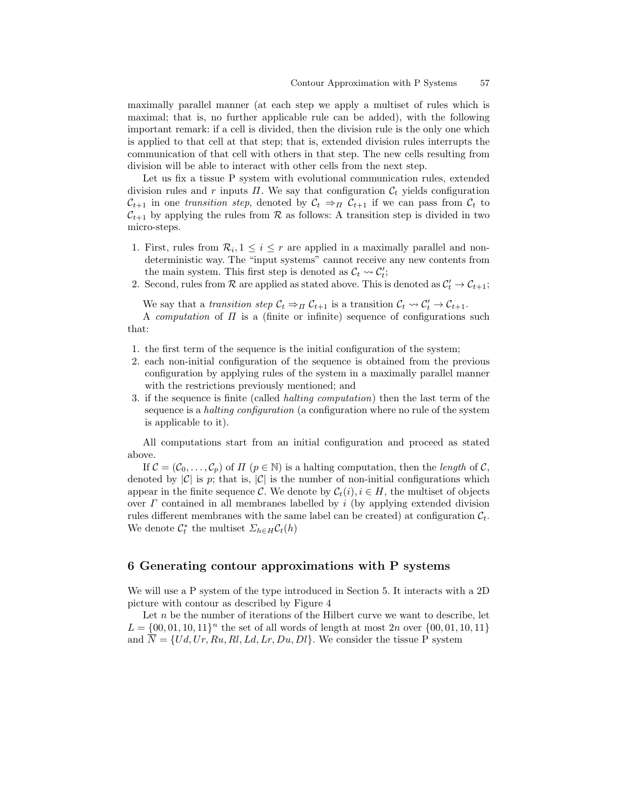maximally parallel manner (at each step we apply a multiset of rules which is maximal; that is, no further applicable rule can be added), with the following important remark: if a cell is divided, then the division rule is the only one which is applied to that cell at that step; that is, extended division rules interrupts the communication of that cell with others in that step. The new cells resulting from division will be able to interact with other cells from the next step.

Let us fix a tissue P system with evolutional communication rules, extended division rules and r inputs  $\Pi$ . We say that configuration  $\mathcal{C}_t$  yields configuration  $\mathcal{C}_{t+1}$  in one transition step, denoted by  $\mathcal{C}_t \Rightarrow_{\Pi} \mathcal{C}_{t+1}$  if we can pass from  $\mathcal{C}_t$  to  $\mathcal{C}_{t+1}$  by applying the rules from  $\mathcal R$  as follows: A transition step is divided in two micro-steps.

- 1. First, rules from  $\mathcal{R}_i, 1 \leq i \leq r$  are applied in a maximally parallel and nondeterministic way. The "input systems" cannot receive any new contents from the main system. This first step is denoted as  $\mathcal{C}_t \leadsto \mathcal{C}'_t$ ;
- 2. Second, rules from  $\mathcal R$  are applied as stated above. This is denoted as  $\mathcal C'_t \to \mathcal C_{t+1}$ ;

We say that a transition step  $C_t \Rightarrow_{\Pi} C_{t+1}$  is a transition  $C_t \rightsquigarrow C'_t \rightarrow C_{t+1}$ .

A *computation* of  $\Pi$  is a (finite or infinite) sequence of configurations such that:

- 1. the first term of the sequence is the initial configuration of the system;
- 2. each non-initial configuration of the sequence is obtained from the previous configuration by applying rules of the system in a maximally parallel manner with the restrictions previously mentioned; and
- 3. if the sequence is finite (called halting computation) then the last term of the sequence is a *halting configuration* (a configuration where no rule of the system is applicable to it).

All computations start from an initial configuration and proceed as stated above.

If  $\mathcal{C} = (\mathcal{C}_0, \ldots, \mathcal{C}_p)$  of  $\Pi$  ( $p \in \mathbb{N}$ ) is a halting computation, then the length of  $\mathcal{C}$ , denoted by  $|\mathcal{C}|$  is p; that is,  $|\mathcal{C}|$  is the number of non-initial configurations which appear in the finite sequence C. We denote by  $\mathcal{C}_t(i), i \in H$ , the multiset of objects over  $\Gamma$  contained in all membranes labelled by i (by applying extended division rules different membranes with the same label can be created) at configuration  $\mathcal{C}_t$ . We denote  $\mathcal{C}_t^*$  the multiset  $\mathcal{L}_{h \in H} \mathcal{C}_t(h)$ 

### 6 Generating contour approximations with P systems

We will use a P system of the type introduced in Section 5. It interacts with a 2D picture with contour as described by Figure 4

Let  $n$  be the number of iterations of the Hilbert curve we want to describe, let  $L = \{00, 01, 10, 11\}^n$  the set of all words of length at most  $2n$  over  $\{00, 01, 10, 11\}$ and  $\overline{N} = \{Ud, Ur, Ru, Rl, Ld, Lr, Du, Dl\}$ . We consider the tissue P system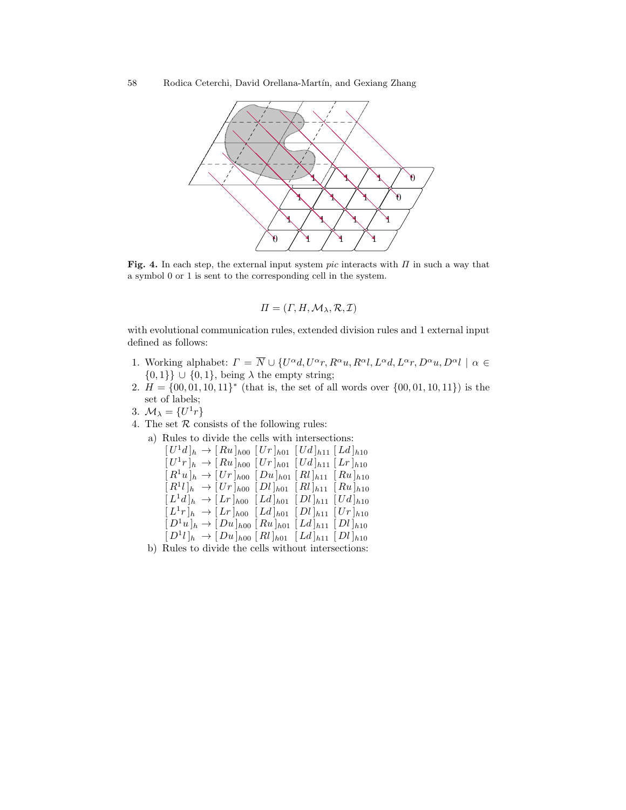

Fig. 4. In each step, the external input system pic interacts with  $\Pi$  in such a way that a symbol 0 or 1 is sent to the corresponding cell in the system.

$$
\Pi = (\Gamma, H, \mathcal{M}_{\lambda}, \mathcal{R}, \mathcal{I})
$$

with evolutional communication rules, extended division rules and 1 external input defined as follows:

- 1. Working alphabet:  $\Gamma = \overline{N} \cup \{U^{\alpha}d, U^{\alpha}r, R^{\alpha}u, R^{\alpha}l, L^{\alpha}d, L^{\alpha}r, D^{\alpha}u, D^{\alpha}l \mid \alpha \in$  $\{0,1\}$  ∪  $\{0,1\}$ , being  $\lambda$  the empty string;
- 2.  $H = \{00, 01, 10, 11\}^*$  (that is, the set of all words over  $\{00, 01, 10, 11\}$ ) is the set of labels;
- 3.  $\mathcal{M}_{\lambda} = \{U^1r\}$
- 4. The set  $R$  consists of the following rules:
	- a) Rules to divide the cells with intersections:<br> $[L_1^T d]_1 \rightarrow [R_2]_{1,2}$   $[L_2^T]_2 \rightarrow [L_3^T]_3$

$$
\begin{aligned}\n[U^1d]_h &\to [Ru]_{h00} [Ur]_{h01} [Ud]_{h11} [Ld]_{h10} \\
[U^1r]_h &\to [Ru]_{h00} [Ur]_{h01} [Ud]_{h11} [Lr]_{h10} \\
[R^1u]_h &\to [Ur]_{h00} [Du]_{h01} [Rl]_{h11} [Ru]_{h10} \\
[R^1l]_h &\to [Ur]_{h00} [Dl]_{h01} [Rl]_{h11} [Ru]_{h10} \\
[L^1d]_h &\to [Lr]_{h00} [Ld]_{h01} [Dl]_{h11} [Ud]_{h10} \\
[L^1r]_h &\to [Lr]_{h00} [Ld]_{h01} [Dl]_{h11} [Ur]_{h10} \\
[D^1u]_h &\to [Du]_{h00} [Ru]_{h01} [Ld]_{h11} [Dl]_{h10} \\
[D^1l]_h &\to [Du]_{h00} [Rl]_{h01} [Ld]_{h11} [Dl]_{h10}\n\end{aligned}
$$

b) Rules to divide the cells without intersections: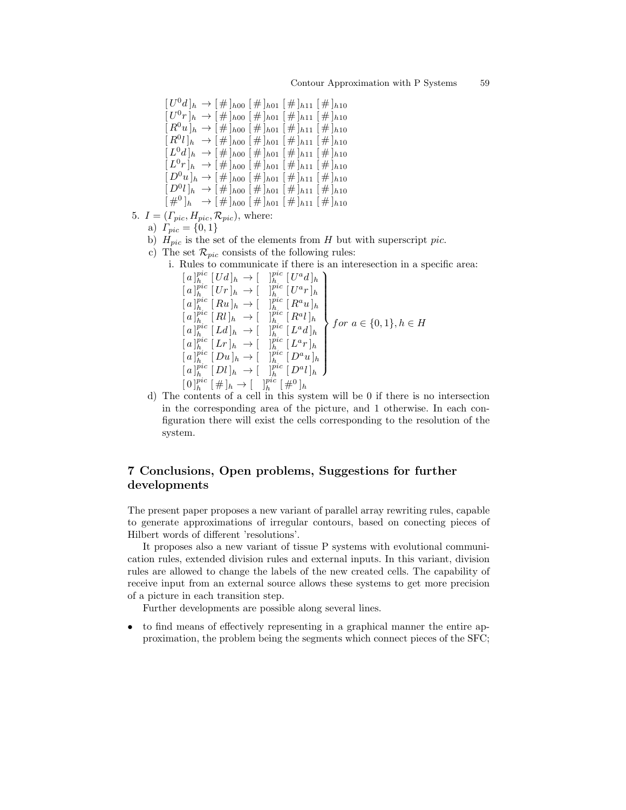$[U^0d]_h \rightarrow [\#]_{h00} [\#]_{h01} [\#]_{h11} [\#]_{h10}$  $[U^0r]_h \rightarrow [\#]_{h00} [\#]_{h01} [\#]_{h11} [\#]_{h10}$  $[R^0u]_h \rightarrow [\#]_{h00} [\#]_{h01} [\#]_{h11} [\#]_{h10}$  $[R^0 l]_h \rightarrow [\#]_{h00} [\#]_{h01} [\#]_{h11} [\#]_{h10}$  $[L^0d]_h \rightarrow [\#]_{h00} [\#]_{h01} [\#]_{h11} [\#]_{h10}$  $[L^0r]_h \rightarrow [\#]_{h00} [\#]_{h01} [\#]_{h11} [\#]_{h10}$  $D^0u\vert_h \to \left[\,\#\,\right]_{h00}\left[\,\#\,\right]_{h01}\left[\,\#\,\right]_{h11}\left[\,\#\,\right]_{h10}$  $[D^0 l]_h \rightarrow [\#]_{h00} [\#]_{h01} [\#]_{h11} [\#]_{h10}$  $[\#^0]_h \rightarrow [\#]_{h00} [\#]_{h01} [\#]_{h11} [\#]_{h10}$ 5.  $I = (\Gamma_{pic}, H_{pic}, \mathcal{R}_{pic})$ , where: a)  $\Gamma_{pic} = \{0, 1\}$ b)  $H_{pic}$  is the set of the elements from H but with superscript pic. c) The set  $\mathcal{R}_{pic}$  consists of the following rules: i. Rules to communicate if there is an interesection in a specific area:  $[a]_h^{pic} [Ud]_h \rightarrow [$   $]_h^{pic} [U^a d]_h$  $[a]_h^{\text{pic}}[Ur]_h \rightarrow [$   $]_h^{\text{pic}}[U^a r]_h$  $[a]_h^{pic}$   $\lbrack Ru]_h \rightarrow \lbrack$   $\lbrack$  $\frac{pic}{h}$   $\lbrack Ra u]_h$  $[a]_h^{pic} [Rl]_h \rightarrow [$   $]_h^{pic} [R^a l]_h$  $[a]_h^{pic} [Ld]_h \rightarrow [$   $\]_h^{pic} [L^a d]_h$  $[a]_h^{pic} [Lr]_h \rightarrow [$   $]_h^{pic} [L^a r]_h$  $[a]_h^{\text{pic}}[Du]_h \to [$   $]_h^{\text{pic}}[D^a u]_h$  $[a]_h^{\text{pic}}[Dl]_h \rightarrow [$   $\]_h^{\text{pic}}[D^a l]_h$  $\mathcal{L}$  $\begin{array}{c} \hline \end{array}$  $\begin{array}{c} \hline \end{array}$ *for*  $a \in \{0, 1\}, h \in H$  $[0]_h^{pic} [\#]_h \to [\quad]_h^{pic} [\#^0]_h$ 

d) The contents of a cell in this system will be 0 if there is no intersection in the corresponding area of the picture, and 1 otherwise. In each configuration there will exist the cells corresponding to the resolution of the system.

## 7 Conclusions, Open problems, Suggestions for further developments

The present paper proposes a new variant of parallel array rewriting rules, capable to generate approximations of irregular contours, based on conecting pieces of Hilbert words of different 'resolutions'.

It proposes also a new variant of tissue P systems with evolutional communication rules, extended division rules and external inputs. In this variant, division rules are allowed to change the labels of the new created cells. The capability of receive input from an external source allows these systems to get more precision of a picture in each transition step.

Further developments are possible along several lines.

• to find means of effectively representing in a graphical manner the entire approximation, the problem being the segments which connect pieces of the SFC;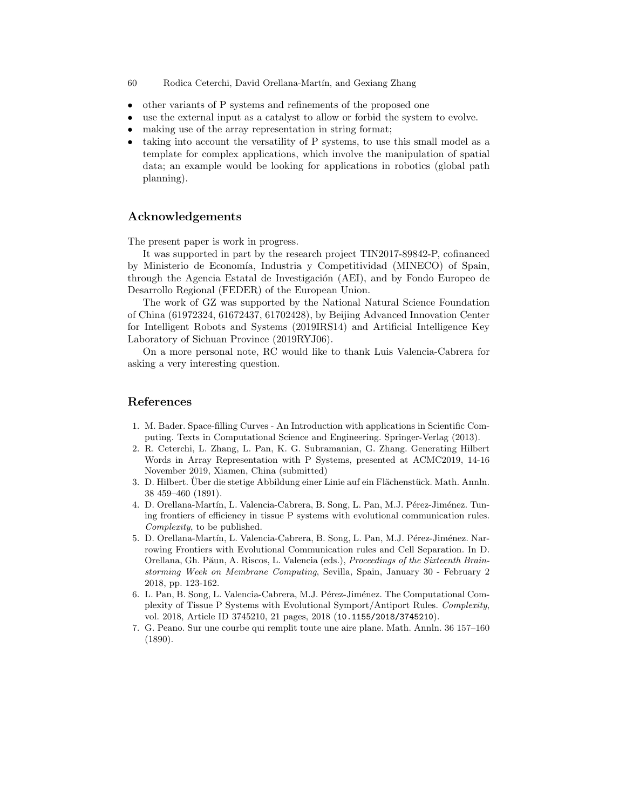- 60 Rodica Ceterchi, David Orellana-Martín, and Gexiang Zhang
- other variants of P systems and refinements of the proposed one
- use the external input as a catalyst to allow or forbid the system to evolve.
- making use of the array representation in string format;
- taking into account the versatility of P systems, to use this small model as a template for complex applications, which involve the manipulation of spatial data; an example would be looking for applications in robotics (global path planning).

### Acknowledgements

The present paper is work in progress.

It was supported in part by the research project TIN2017-89842-P, cofinanced by Ministerio de Economía, Industria y Competitividad (MINECO) of Spain, through the Agencia Estatal de Investigación (AEI), and by Fondo Europeo de Desarrollo Regional (FEDER) of the European Union.

The work of GZ was supported by the National Natural Science Foundation of China (61972324, 61672437, 61702428), by Beijing Advanced Innovation Center for Intelligent Robots and Systems (2019IRS14) and Artificial Intelligence Key Laboratory of Sichuan Province (2019RYJ06).

On a more personal note, RC would like to thank Luis Valencia-Cabrera for asking a very interesting question.

### References

- 1. M. Bader. Space-filling Curves An Introduction with applications in Scientific Computing. Texts in Computational Science and Engineering. Springer-Verlag (2013).
- 2. R. Ceterchi, L. Zhang, L. Pan, K. G. Subramanian, G. Zhang. Generating Hilbert Words in Array Representation with P Systems, presented at ACMC2019, 14-16 November 2019, Xiamen, China (submitted)
- 3. D. Hilbert. Uber die stetige Abbildung einer Linie auf ein Flächenstück. Math. Annln. 38 459–460 (1891).
- 4. D. Orellana-Martín, L. Valencia-Cabrera, B. Song, L. Pan, M.J. Pérez-Jiménez. Tuning frontiers of efficiency in tissue P systems with evolutional communication rules. Complexity, to be published.
- 5. D. Orellana-Martín, L. Valencia-Cabrera, B. Song, L. Pan, M.J. Pérez-Jiménez. Narrowing Frontiers with Evolutional Communication rules and Cell Separation. In D. Orellana, Gh. Păun, A. Riscos, L. Valencia (eds.), Proceedings of the Sixteenth Brainstorming Week on Membrane Computing, Sevilla, Spain, January 30 - February 2 2018, pp. 123-162.
- 6. L. Pan, B. Song, L. Valencia-Cabrera, M.J. Pérez-Jiménez. The Computational Complexity of Tissue P Systems with Evolutional Symport/Antiport Rules. Complexity, vol. 2018, Article ID 3745210, 21 pages, 2018 (10.1155/2018/3745210).
- 7. G. Peano. Sur une courbe qui remplit toute une aire plane. Math. Annln. 36 157–160 (1890).